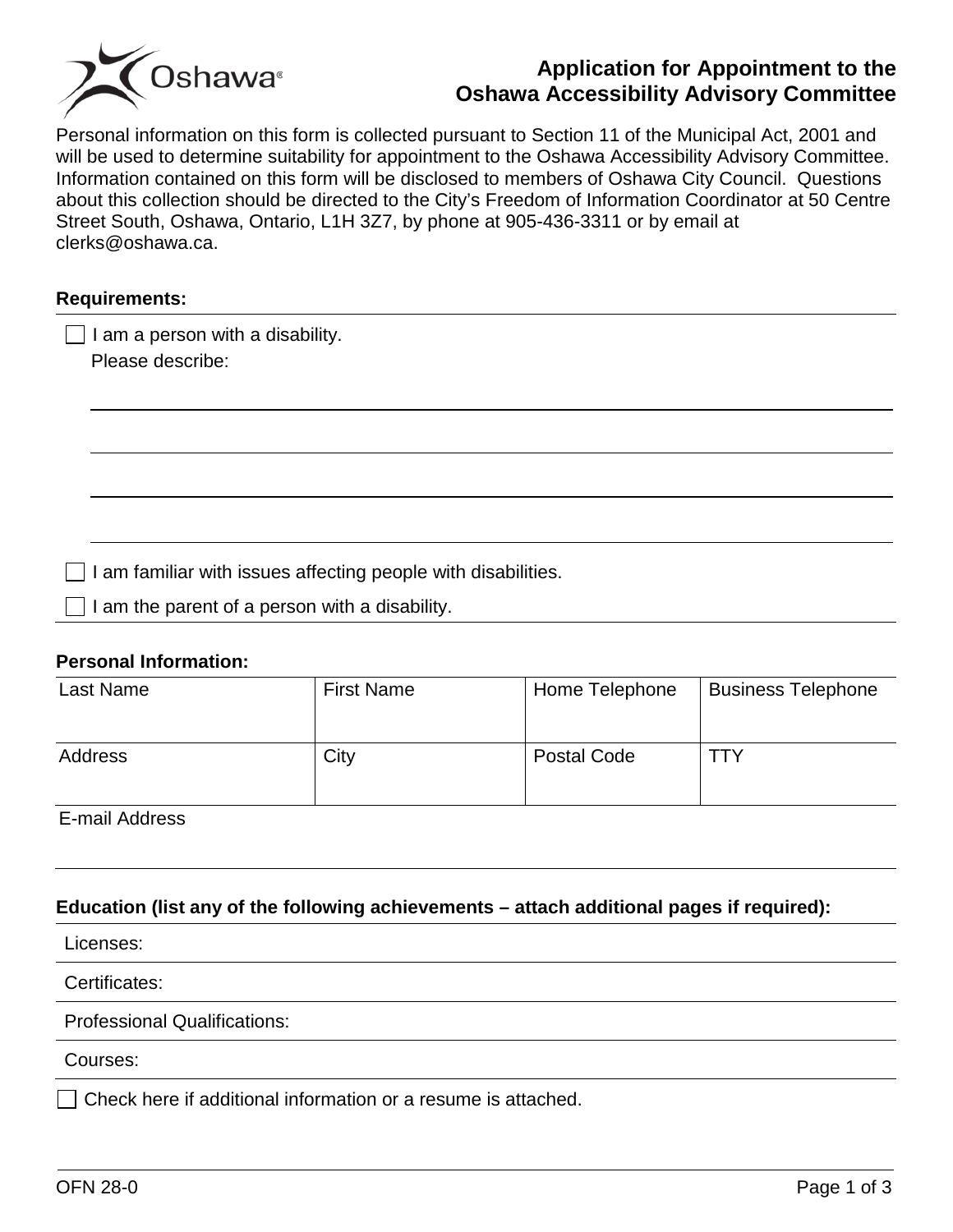

# **Application for Appointment to the Oshawa Accessibility Advisory Committee**

Personal information on this form is collected pursuant to Section 11 of the Municipal Act, 2001 and will be used to determine suitability for appointment to the Oshawa Accessibility Advisory Committee. Information contained on this form will be disclosed to members of Oshawa City Council. Questions about this collection should be directed to the City's Freedom of Information Coordinator at 50 Centre Street South, Oshawa, Ontario, L1H 3Z7, by phone at 905-436-3311 or by email at clerks@oshawa.ca.

#### **Requirements:**

 $\Box$  I am a person with a disability.

Please describe:

I am familiar with issues affecting people with disabilities.

 $\Box$  I am the parent of a person with a disability.

### **Personal Information:**

| Last Name | <b>First Name</b> | Home Telephone     | <b>Business Telephone</b> |
|-----------|-------------------|--------------------|---------------------------|
| Address   | City              | <b>Postal Code</b> | TTY                       |

E-mail Address

# **Education (list any of the following achievements – attach additional pages if required):**

Licenses:

### Certificates:

Professional Qualifications:

#### Courses:

 $\Box$  Check here if additional information or a resume is attached.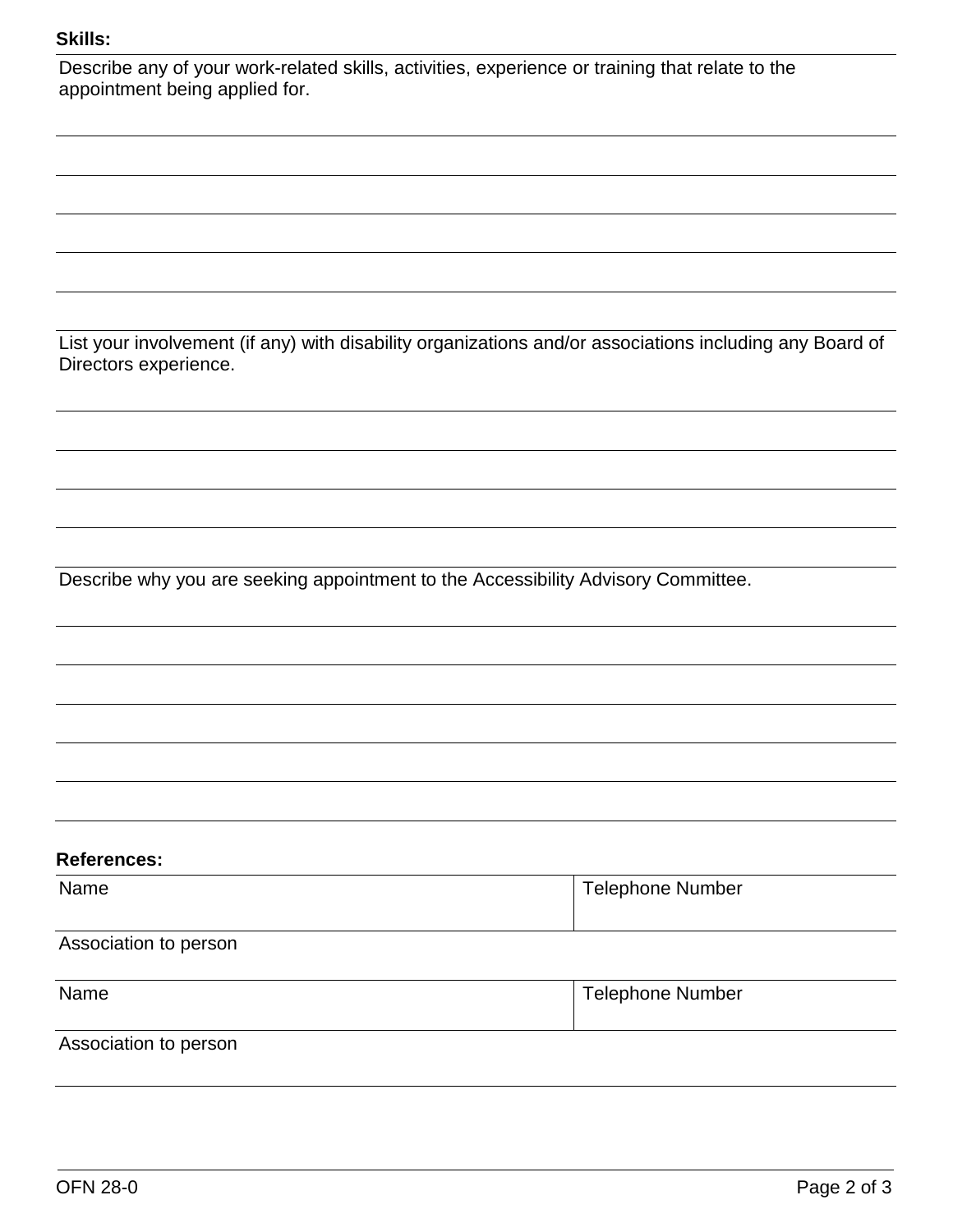## **Skills:**

| <b>Skills:</b>                                                                                                                    |                         |
|-----------------------------------------------------------------------------------------------------------------------------------|-------------------------|
| Describe any of your work-related skills, activities, experience or training that relate to the<br>appointment being applied for. |                         |
|                                                                                                                                   |                         |
|                                                                                                                                   |                         |
|                                                                                                                                   |                         |
|                                                                                                                                   |                         |
|                                                                                                                                   |                         |
|                                                                                                                                   |                         |
| List your involvement (if any) with disability organizations and/or associations including any Board of<br>Directors experience.  |                         |
|                                                                                                                                   |                         |
|                                                                                                                                   |                         |
|                                                                                                                                   |                         |
|                                                                                                                                   |                         |
| Describe why you are seeking appointment to the Accessibility Advisory Committee.                                                 |                         |
|                                                                                                                                   |                         |
|                                                                                                                                   |                         |
|                                                                                                                                   |                         |
|                                                                                                                                   |                         |
|                                                                                                                                   |                         |
| <b>References:</b>                                                                                                                |                         |
| Name                                                                                                                              | <b>Telephone Number</b> |
| Association to person                                                                                                             |                         |
| Name                                                                                                                              | <b>Telephone Number</b> |
| Association to person                                                                                                             |                         |